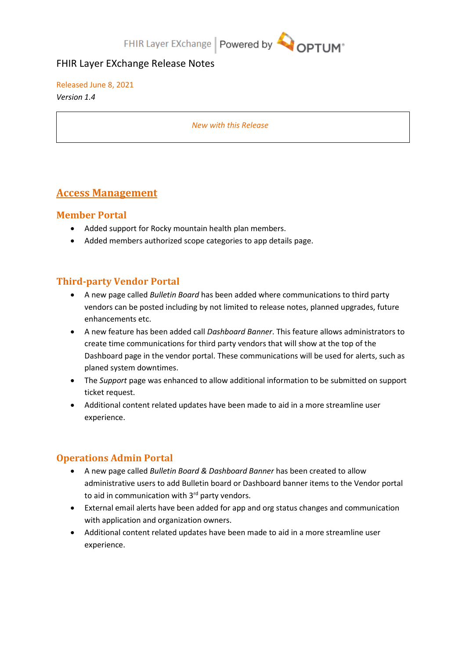# FHIR Layer EXchange Release Notes

Released June 8, 2021 *Version 1.4*

*New with this Release*

# **Access Management**

#### **Member Portal**

- Added support for Rocky mountain health plan members.
- Added members authorized scope categories to app details page.

## **Third-party Vendor Portal**

- A new page called *Bulletin Board* has been added where communications to third party vendors can be posted including by not limited to release notes, planned upgrades, future enhancements etc.
- A new feature has been added call *Dashboard Banner*. This feature allows administrators to create time communications for third party vendors that will show at the top of the Dashboard page in the vendor portal. These communications will be used for alerts, such as planed system downtimes.
- The *Support* page was enhanced to allow additional information to be submitted on support ticket request.
- Additional content related updates have been made to aid in a more streamline user experience.

# **Operations Admin Portal**

- A new page called *Bulletin Board & Dashboard Banner* has been created to allow administrative users to add Bulletin board or Dashboard banner items to the Vendor portal to aid in communication with 3<sup>rd</sup> party vendors.
- External email alerts have been added for app and org status changes and communication with application and organization owners.
- Additional content related updates have been made to aid in a more streamline user experience.